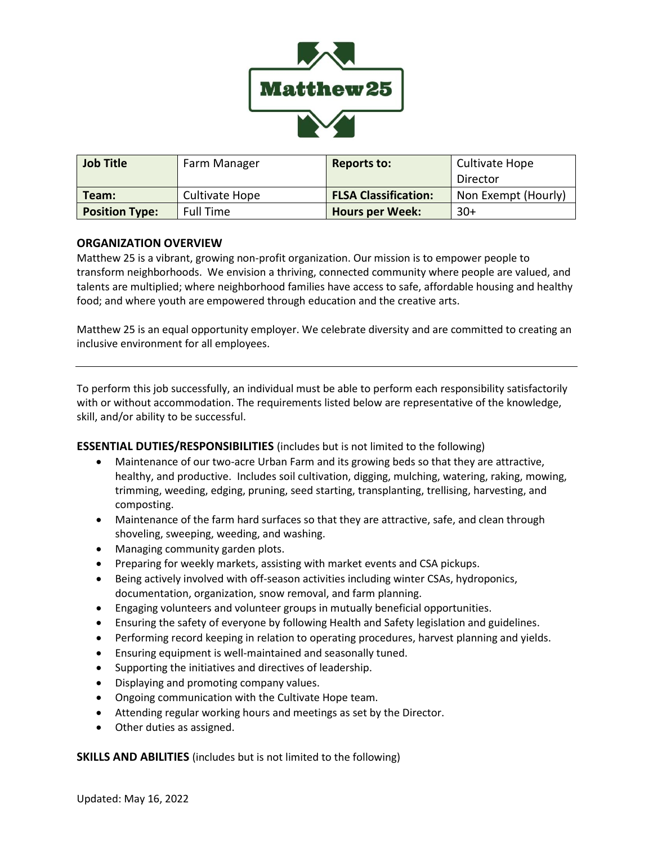

| <b>Job Title</b>      | Farm Manager     | <b>Reports to:</b>          | Cultivate Hope      |
|-----------------------|------------------|-----------------------------|---------------------|
|                       |                  |                             | Director            |
| Team:                 | Cultivate Hope   | <b>FLSA Classification:</b> | Non Exempt (Hourly) |
| <b>Position Type:</b> | <b>Full Time</b> | <b>Hours per Week:</b>      | $30+$               |

## **ORGANIZATION OVERVIEW**

Matthew 25 is a vibrant, growing non-profit organization. Our mission is to empower people to transform neighborhoods. We envision a thriving, connected community where people are valued, and talents are multiplied; where neighborhood families have access to safe, affordable housing and healthy food; and where youth are empowered through education and the creative arts.

Matthew 25 is an equal opportunity employer. We celebrate diversity and are committed to creating an inclusive environment for all employees.

To perform this job successfully, an individual must be able to perform each responsibility satisfactorily with or without accommodation. The requirements listed below are representative of the knowledge, skill, and/or ability to be successful.

**ESSENTIAL DUTIES/RESPONSIBILITIES** (includes but is not limited to the following)

- Maintenance of our two-acre Urban Farm and its growing beds so that they are attractive, healthy, and productive. Includes soil cultivation, digging, mulching, watering, raking, mowing, trimming, weeding, edging, pruning, seed starting, transplanting, trellising, harvesting, and composting.
- Maintenance of the farm hard surfaces so that they are attractive, safe, and clean through shoveling, sweeping, weeding, and washing.
- Managing community garden plots.
- Preparing for weekly markets, assisting with market events and CSA pickups.
- Being actively involved with off-season activities including winter CSAs, hydroponics, documentation, organization, snow removal, and farm planning.
- Engaging volunteers and volunteer groups in mutually beneficial opportunities.
- Ensuring the safety of everyone by following Health and Safety legislation and guidelines.
- Performing record keeping in relation to operating procedures, harvest planning and yields.
- Ensuring equipment is well-maintained and seasonally tuned.
- Supporting the initiatives and directives of leadership.
- Displaying and promoting company values.
- Ongoing communication with the Cultivate Hope team.
- Attending regular working hours and meetings as set by the Director.
- Other duties as assigned.

**SKILLS AND ABILITIES** (includes but is not limited to the following)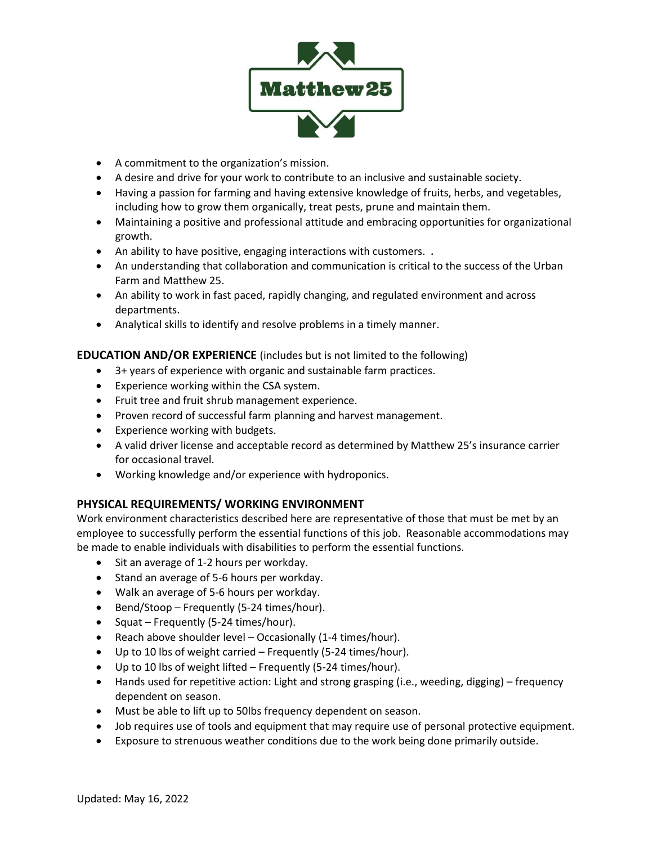

- A commitment to the organization's mission.
- A desire and drive for your work to contribute to an inclusive and sustainable society.
- Having a passion for farming and having extensive knowledge of fruits, herbs, and vegetables, including how to grow them organically, treat pests, prune and maintain them.
- Maintaining a positive and professional attitude and embracing opportunities for organizational growth.
- An ability to have positive, engaging interactions with customers. **.**
- An understanding that collaboration and communication is critical to the success of the Urban Farm and Matthew 25.
- An ability to work in fast paced, rapidly changing, and regulated environment and across departments.
- Analytical skills to identify and resolve problems in a timely manner.

## **EDUCATION AND/OR EXPERIENCE** (includes but is not limited to the following)

- 3+ years of experience with organic and sustainable farm practices.
- Experience working within the CSA system.
- Fruit tree and fruit shrub management experience.
- Proven record of successful farm planning and harvest management.
- Experience working with budgets.
- A valid driver license and acceptable record as determined by Matthew 25's insurance carrier for occasional travel.
- Working knowledge and/or experience with hydroponics.

## **PHYSICAL REQUIREMENTS/ WORKING ENVIRONMENT**

Work environment characteristics described here are representative of those that must be met by an employee to successfully perform the essential functions of this job. Reasonable accommodations may be made to enable individuals with disabilities to perform the essential functions.

- Sit an average of 1-2 hours per workday.
- Stand an average of 5-6 hours per workday.
- Walk an average of 5-6 hours per workday.
- Bend/Stoop Frequently (5-24 times/hour).
- Squat Frequently (5-24 times/hour).
- Reach above shoulder level Occasionally (1-4 times/hour).
- Up to 10 lbs of weight carried Frequently (5-24 times/hour).
- Up to 10 lbs of weight lifted Frequently (5-24 times/hour).
- Hands used for repetitive action: Light and strong grasping (i.e., weeding, digging) frequency dependent on season.
- Must be able to lift up to 50lbs frequency dependent on season.
- Job requires use of tools and equipment that may require use of personal protective equipment.
- Exposure to strenuous weather conditions due to the work being done primarily outside.